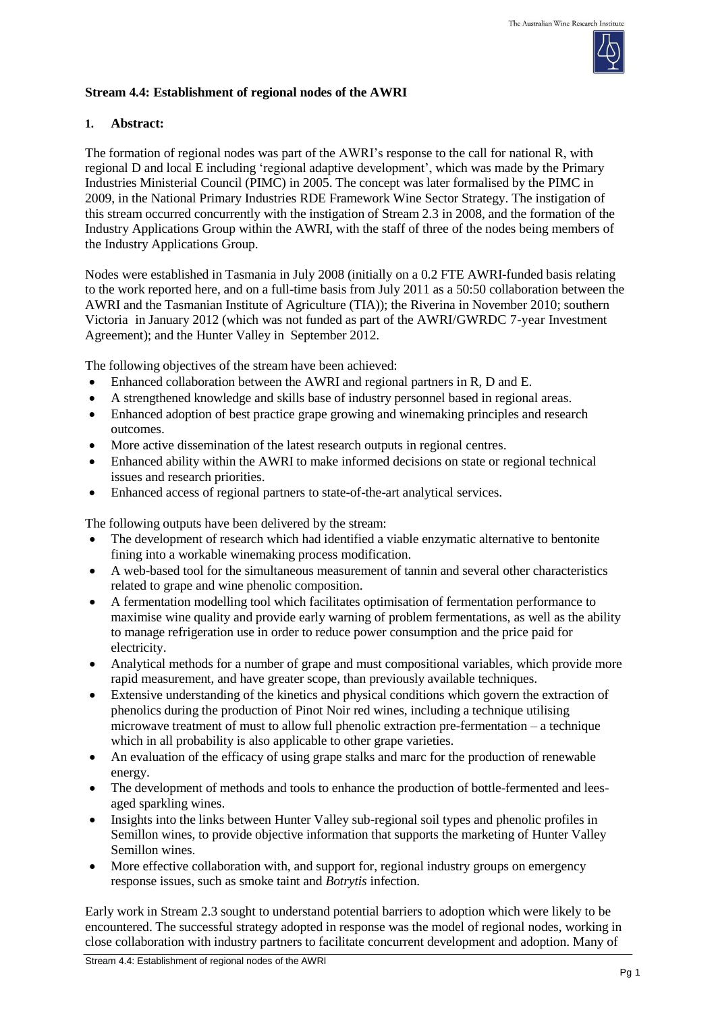

## **Stream 4.4: Establishment of regional nodes of the AWRI**

## **1. Abstract:**

The formation of regional nodes was part of the AWRI's response to the call for national R, with regional D and local E including 'regional adaptive development', which was made by the Primary Industries Ministerial Council (PIMC) in 2005. The concept was later formalised by the PIMC in 2009, in the National Primary Industries RDE Framework Wine Sector Strategy. The instigation of this stream occurred concurrently with the instigation of Stream 2.3 in 2008, and the formation of the Industry Applications Group within the AWRI, with the staff of three of the nodes being members of the Industry Applications Group.

Nodes were established in Tasmania in July 2008 (initially on a 0.2 FTE AWRI-funded basis relating to the work reported here, and on a full-time basis from July 2011 as a 50:50 collaboration between the AWRI and the Tasmanian Institute of Agriculture (TIA)); the Riverina in November 2010; southern Victoria in January 2012 (which was not funded as part of the AWRI/GWRDC 7-year Investment Agreement); and the Hunter Valley in September 2012.

The following objectives of the stream have been achieved:

- Enhanced collaboration between the AWRI and regional partners in R, D and E.
- A strengthened knowledge and skills base of industry personnel based in regional areas.
- Enhanced adoption of best practice grape growing and winemaking principles and research outcomes.
- More active dissemination of the latest research outputs in regional centres.
- Enhanced ability within the AWRI to make informed decisions on state or regional technical issues and research priorities.
- Enhanced access of regional partners to state-of-the-art analytical services.

The following outputs have been delivered by the stream:

- The development of research which had identified a viable enzymatic alternative to bentonite fining into a workable winemaking process modification.
- A web-based tool for the simultaneous measurement of tannin and several other characteristics related to grape and wine phenolic composition.
- A fermentation modelling tool which facilitates optimisation of fermentation performance to maximise wine quality and provide early warning of problem fermentations, as well as the ability to manage refrigeration use in order to reduce power consumption and the price paid for electricity.
- Analytical methods for a number of grape and must compositional variables, which provide more rapid measurement, and have greater scope, than previously available techniques.
- Extensive understanding of the kinetics and physical conditions which govern the extraction of phenolics during the production of Pinot Noir red wines, including a technique utilising microwave treatment of must to allow full phenolic extraction pre-fermentation – a technique which in all probability is also applicable to other grape varieties.
- An evaluation of the efficacy of using grape stalks and marc for the production of renewable energy.
- The development of methods and tools to enhance the production of bottle-fermented and leesaged sparkling wines.
- Insights into the links between Hunter Valley sub-regional soil types and phenolic profiles in Semillon wines, to provide objective information that supports the marketing of Hunter Valley Semillon wines.
- More effective collaboration with, and support for, regional industry groups on emergency response issues, such as smoke taint and *Botrytis* infection.

Early work in Stream 2.3 sought to understand potential barriers to adoption which were likely to be encountered. The successful strategy adopted in response was the model of regional nodes, working in close collaboration with industry partners to facilitate concurrent development and adoption. Many of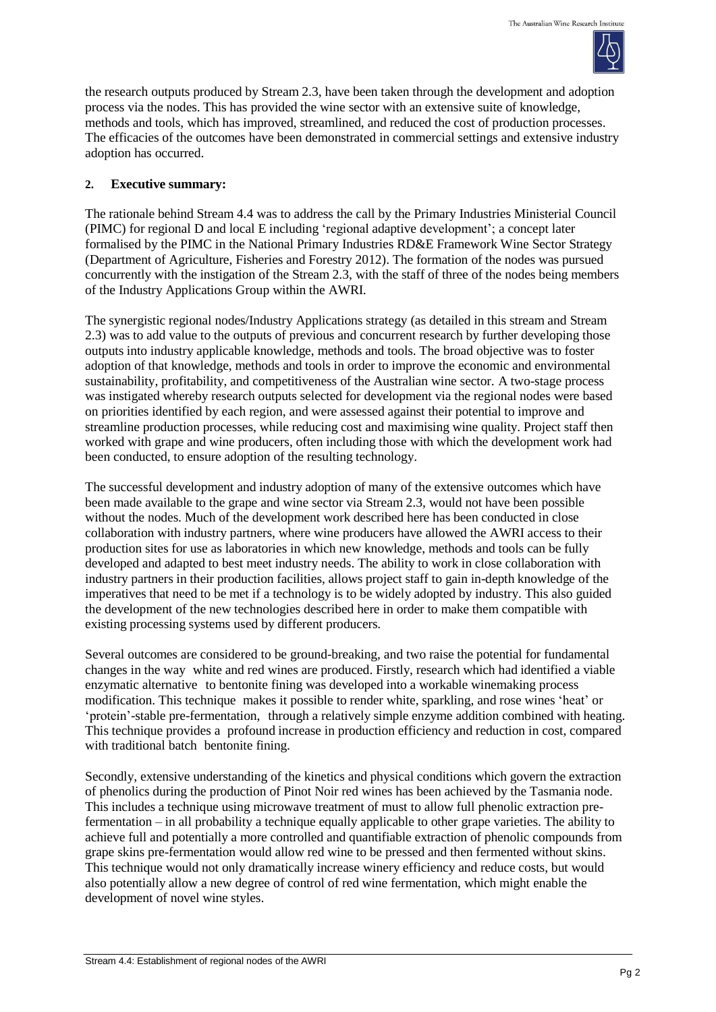

the research outputs produced by Stream 2.3, have been taken through the development and adoption process via the nodes. This has provided the wine sector with an extensive suite of knowledge, methods and tools, which has improved, streamlined, and reduced the cost of production processes. The efficacies of the outcomes have been demonstrated in commercial settings and extensive industry adoption has occurred.

## **2. Executive summary:**

The rationale behind Stream 4.4 was to address the call by the Primary Industries Ministerial Council (PIMC) for regional D and local E including 'regional adaptive development'; a concept later formalised by the PIMC in the National Primary Industries RD&E Framework Wine Sector Strategy (Department of Agriculture, Fisheries and Forestry 2012). The formation of the nodes was pursued concurrently with the instigation of the Stream 2.3, with the staff of three of the nodes being members of the Industry Applications Group within the AWRI.

The synergistic regional nodes/Industry Applications strategy (as detailed in this stream and Stream 2.3) was to add value to the outputs of previous and concurrent research by further developing those outputs into industry applicable knowledge, methods and tools. The broad objective was to foster adoption of that knowledge, methods and tools in order to improve the economic and environmental sustainability, profitability, and competitiveness of the Australian wine sector. A two-stage process was instigated whereby research outputs selected for development via the regional nodes were based on priorities identified by each region, and were assessed against their potential to improve and streamline production processes, while reducing cost and maximising wine quality. Project staff then worked with grape and wine producers, often including those with which the development work had been conducted, to ensure adoption of the resulting technology.

The successful development and industry adoption of many of the extensive outcomes which have been made available to the grape and wine sector via Stream 2.3, would not have been possible without the nodes. Much of the development work described here has been conducted in close collaboration with industry partners, where wine producers have allowed the AWRI access to their production sites for use as laboratories in which new knowledge, methods and tools can be fully developed and adapted to best meet industry needs. The ability to work in close collaboration with industry partners in their production facilities, allows project staff to gain in-depth knowledge of the imperatives that need to be met if a technology is to be widely adopted by industry. This also guided the development of the new technologies described here in order to make them compatible with existing processing systems used by different producers.

Several outcomes are considered to be ground-breaking, and two raise the potential for fundamental changes in the way white and red wines are produced. Firstly, research which had identified a viable enzymatic alternative to bentonite fining was developed into a workable winemaking process modification. This technique makes it possible to render white, sparkling, and rose wines 'heat' or 'protein'-stable pre-fermentation, through a relatively simple enzyme addition combined with heating. This technique provides a profound increase in production efficiency and reduction in cost, compared with traditional batch bentonite fining.

Secondly, extensive understanding of the kinetics and physical conditions which govern the extraction of phenolics during the production of Pinot Noir red wines has been achieved by the Tasmania node. This includes a technique using microwave treatment of must to allow full phenolic extraction prefermentation – in all probability a technique equally applicable to other grape varieties. The ability to achieve full and potentially a more controlled and quantifiable extraction of phenolic compounds from grape skins pre-fermentation would allow red wine to be pressed and then fermented without skins. This technique would not only dramatically increase winery efficiency and reduce costs, but would also potentially allow a new degree of control of red wine fermentation, which might enable the development of novel wine styles.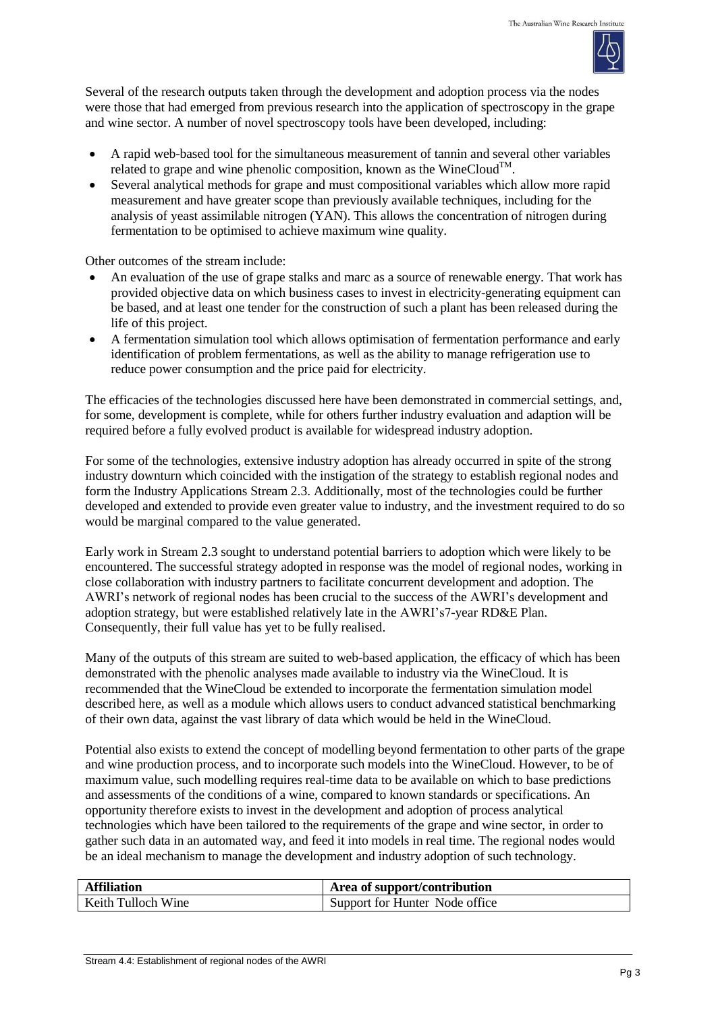

Several of the research outputs taken through the development and adoption process via the nodes were those that had emerged from previous research into the application of spectroscopy in the grape and wine sector. A number of novel spectroscopy tools have been developed, including:

- A rapid web-based tool for the simultaneous measurement of tannin and several other variables related to grape and wine phenolic composition, known as the WineCloud $^{TM}$ .
- Several analytical methods for grape and must compositional variables which allow more rapid measurement and have greater scope than previously available techniques, including for the analysis of yeast assimilable nitrogen (YAN). This allows the concentration of nitrogen during fermentation to be optimised to achieve maximum wine quality.

Other outcomes of the stream include:

- An evaluation of the use of grape stalks and marc as a source of renewable energy. That work has provided objective data on which business cases to invest in electricity-generating equipment can be based, and at least one tender for the construction of such a plant has been released during the life of this project.
- A fermentation simulation tool which allows optimisation of fermentation performance and early identification of problem fermentations, as well as the ability to manage refrigeration use to reduce power consumption and the price paid for electricity.

The efficacies of the technologies discussed here have been demonstrated in commercial settings, and, for some, development is complete, while for others further industry evaluation and adaption will be required before a fully evolved product is available for widespread industry adoption.

For some of the technologies, extensive industry adoption has already occurred in spite of the strong industry downturn which coincided with the instigation of the strategy to establish regional nodes and form the Industry Applications Stream 2.3. Additionally, most of the technologies could be further developed and extended to provide even greater value to industry, and the investment required to do so would be marginal compared to the value generated.

Early work in Stream 2.3 sought to understand potential barriers to adoption which were likely to be encountered. The successful strategy adopted in response was the model of regional nodes, working in close collaboration with industry partners to facilitate concurrent development and adoption. The AWRI's network of regional nodes has been crucial to the success of the AWRI's development and adoption strategy, but were established relatively late in the AWRI's7-year RD&E Plan. Consequently, their full value has yet to be fully realised.

Many of the outputs of this stream are suited to web-based application, the efficacy of which has been demonstrated with the phenolic analyses made available to industry via the WineCloud. It is recommended that the WineCloud be extended to incorporate the fermentation simulation model described here, as well as a module which allows users to conduct advanced statistical benchmarking of their own data, against the vast library of data which would be held in the WineCloud.

Potential also exists to extend the concept of modelling beyond fermentation to other parts of the grape and wine production process, and to incorporate such models into the WineCloud. However, to be of maximum value, such modelling requires real-time data to be available on which to base predictions and assessments of the conditions of a wine, compared to known standards or specifications. An opportunity therefore exists to invest in the development and adoption of process analytical technologies which have been tailored to the requirements of the grape and wine sector, in order to gather such data in an automated way, and feed it into models in real time. The regional nodes would be an ideal mechanism to manage the development and industry adoption of such technology.

| <b>Affiliation</b> | Area of support/contribution   |
|--------------------|--------------------------------|
| Keith Tulloch Wine | Support for Hunter Node office |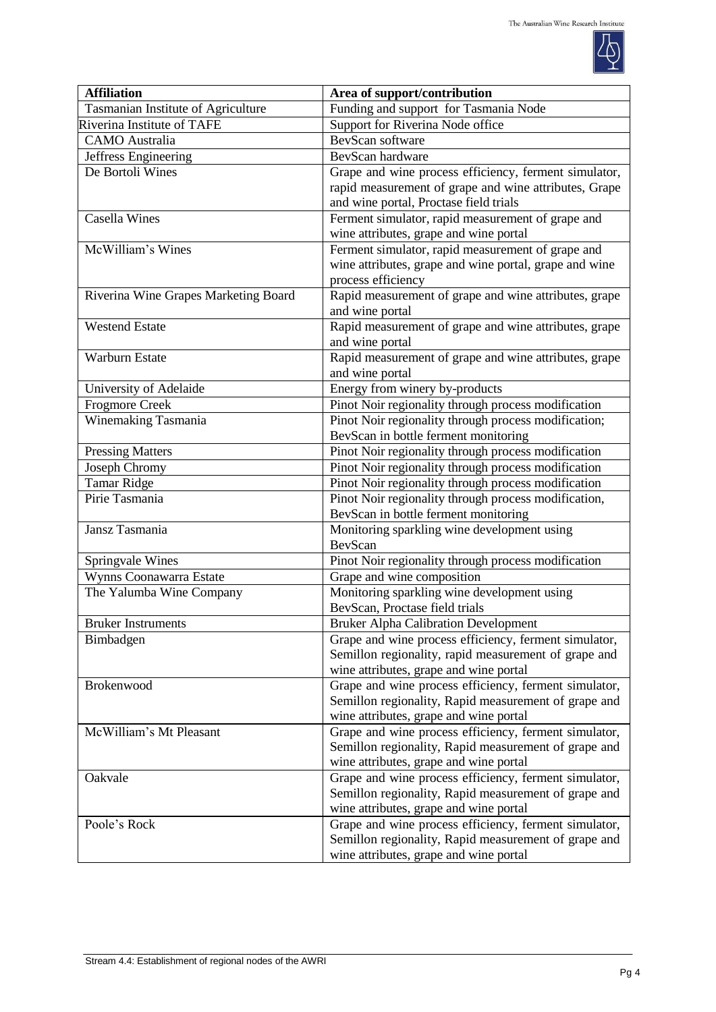

| <b>Affiliation</b>                   | Area of support/contribution                                                                         |  |  |
|--------------------------------------|------------------------------------------------------------------------------------------------------|--|--|
| Tasmanian Institute of Agriculture   | Funding and support for Tasmania Node                                                                |  |  |
| Riverina Institute of TAFE           | Support for Riverina Node office                                                                     |  |  |
| <b>CAMO</b> Australia                | BevScan software                                                                                     |  |  |
| Jeffress Engineering                 | BevScan hardware                                                                                     |  |  |
| De Bortoli Wines                     | Grape and wine process efficiency, ferment simulator,                                                |  |  |
|                                      | rapid measurement of grape and wine attributes, Grape                                                |  |  |
|                                      | and wine portal, Proctase field trials                                                               |  |  |
| Casella Wines                        | Ferment simulator, rapid measurement of grape and                                                    |  |  |
|                                      | wine attributes, grape and wine portal                                                               |  |  |
| McWilliam's Wines                    | Ferment simulator, rapid measurement of grape and                                                    |  |  |
|                                      | wine attributes, grape and wine portal, grape and wine                                               |  |  |
|                                      | process efficiency                                                                                   |  |  |
| Riverina Wine Grapes Marketing Board | Rapid measurement of grape and wine attributes, grape                                                |  |  |
|                                      | and wine portal                                                                                      |  |  |
| <b>Westend Estate</b>                | Rapid measurement of grape and wine attributes, grape                                                |  |  |
|                                      | and wine portal                                                                                      |  |  |
| Warburn Estate                       | Rapid measurement of grape and wine attributes, grape                                                |  |  |
|                                      | and wine portal                                                                                      |  |  |
| University of Adelaide               | Energy from winery by-products                                                                       |  |  |
| <b>Frogmore Creek</b>                | Pinot Noir regionality through process modification                                                  |  |  |
| Winemaking Tasmania                  | Pinot Noir regionality through process modification;                                                 |  |  |
|                                      | BevScan in bottle ferment monitoring                                                                 |  |  |
| Pressing Matters                     | Pinot Noir regionality through process modification                                                  |  |  |
| Joseph Chromy                        | Pinot Noir regionality through process modification                                                  |  |  |
| <b>Tamar Ridge</b>                   | Pinot Noir regionality through process modification                                                  |  |  |
| Pirie Tasmania                       | Pinot Noir regionality through process modification,                                                 |  |  |
|                                      | BevScan in bottle ferment monitoring                                                                 |  |  |
| Jansz Tasmania                       | Monitoring sparkling wine development using                                                          |  |  |
|                                      | BevScan                                                                                              |  |  |
| Springvale Wines                     | Pinot Noir regionality through process modification                                                  |  |  |
| Wynns Coonawarra Estate              | Grape and wine composition                                                                           |  |  |
| The Yalumba Wine Company             | Monitoring sparkling wine development using                                                          |  |  |
|                                      | BevScan, Proctase field trials                                                                       |  |  |
| <b>Bruker Instruments</b>            | <b>Bruker Alpha Calibration Development</b><br>Grape and wine process efficiency, ferment simulator, |  |  |
| Bimbadgen                            |                                                                                                      |  |  |
|                                      | Semillon regionality, rapid measurement of grape and<br>wine attributes, grape and wine portal       |  |  |
| Brokenwood                           | Grape and wine process efficiency, ferment simulator,                                                |  |  |
|                                      | Semillon regionality, Rapid measurement of grape and                                                 |  |  |
|                                      | wine attributes, grape and wine portal                                                               |  |  |
| McWilliam's Mt Pleasant              | Grape and wine process efficiency, ferment simulator,                                                |  |  |
|                                      | Semillon regionality, Rapid measurement of grape and                                                 |  |  |
|                                      | wine attributes, grape and wine portal                                                               |  |  |
| Oakvale                              | Grape and wine process efficiency, ferment simulator,                                                |  |  |
|                                      | Semillon regionality, Rapid measurement of grape and                                                 |  |  |
|                                      | wine attributes, grape and wine portal                                                               |  |  |
| Poole's Rock                         | Grape and wine process efficiency, ferment simulator,                                                |  |  |
|                                      | Semillon regionality, Rapid measurement of grape and                                                 |  |  |
|                                      | wine attributes, grape and wine portal                                                               |  |  |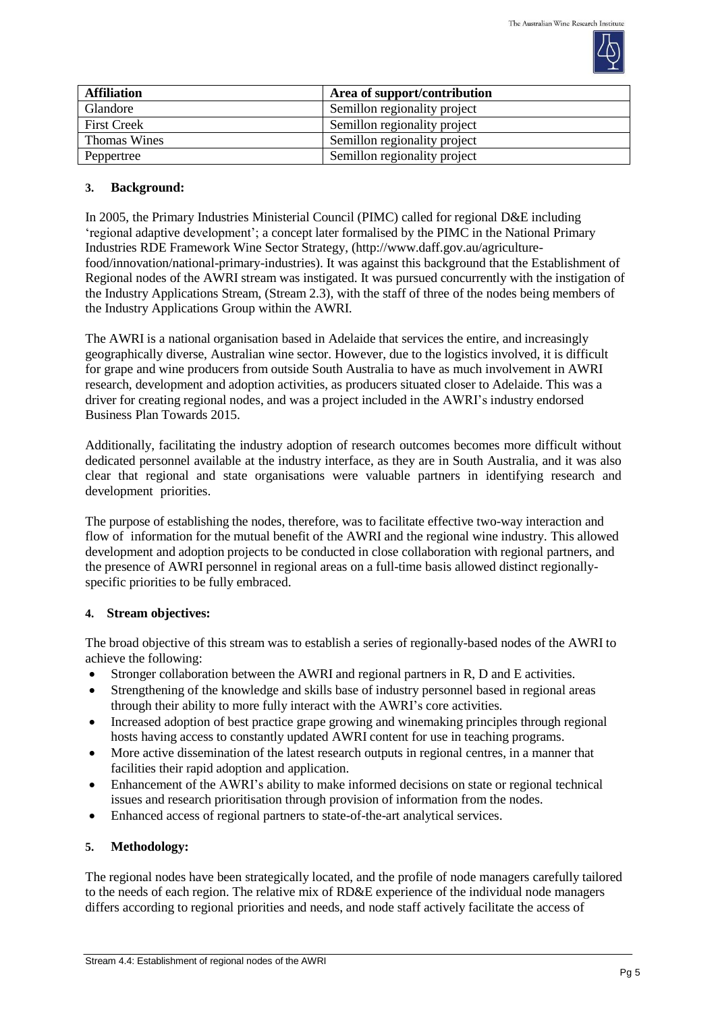

| <b>Affiliation</b> | Area of support/contribution |
|--------------------|------------------------------|
| Glandore           | Semillon regionality project |
| <b>First Creek</b> | Semillon regionality project |
| Thomas Wines       | Semillon regionality project |
| Peppertree         | Semillon regionality project |

## **3. Background:**

In 2005, the Primary Industries Ministerial Council (PIMC) called for regional D&E including 'regional adaptive development'; a concept later formalised by the PIMC in the National Primary Industries RDE Framework Wine Sector Strategy, [\(http://www.daff.gov.au/agriculture](http://www.daff.gov.au/agriculture-food/innovation/national-primary-industries)[food/innovation/national-primary-industries\)](http://www.daff.gov.au/agriculture-food/innovation/national-primary-industries). It was against this background that the Establishment of Regional nodes of the AWRI stream was instigated. It was pursued concurrently with the instigation of the Industry Applications Stream, (Stream 2.3), with the staff of three of the nodes being members of the Industry Applications Group within the AWRI.

The AWRI is a national organisation based in Adelaide that services the entire, and increasingly geographically diverse, Australian wine sector. However, due to the logistics involved, it is difficult for grape and wine producers from outside South Australia to have as much involvement in AWRI research, development and adoption activities, as producers situated closer to Adelaide. This was a driver for creating regional nodes, and was a project included in the AWRI's industry endorsed Business Plan Towards 2015.

Additionally, facilitating the industry adoption of research outcomes becomes more difficult without dedicated personnel available at the industry interface, as they are in South Australia, and it was also clear that regional and state organisations were valuable partners in identifying research and development priorities.

The purpose of establishing the nodes, therefore, was to facilitate effective two-way interaction and flow of information for the mutual benefit of the AWRI and the regional wine industry. This allowed development and adoption projects to be conducted in close collaboration with regional partners, and the presence of AWRI personnel in regional areas on a full-time basis allowed distinct regionallyspecific priorities to be fully embraced.

# **4. Stream objectives:**

The broad objective of this stream was to establish a series of regionally-based nodes of the AWRI to achieve the following:

- Stronger collaboration between the AWRI and regional partners in R, D and E activities.
- Strengthening of the knowledge and skills base of industry personnel based in regional areas through their ability to more fully interact with the AWRI's core activities.
- Increased adoption of best practice grape growing and winemaking principles through regional hosts having access to constantly updated AWRI content for use in teaching programs.
- More active dissemination of the latest research outputs in regional centres, in a manner that facilities their rapid adoption and application.
- Enhancement of the AWRI's ability to make informed decisions on state or regional technical issues and research prioritisation through provision of information from the nodes.
- Enhanced access of regional partners to state-of-the-art analytical services.

# **5. Methodology:**

The regional nodes have been strategically located, and the profile of node managers carefully tailored to the needs of each region. The relative mix of RD&E experience of the individual node managers differs according to regional priorities and needs, and node staff actively facilitate the access of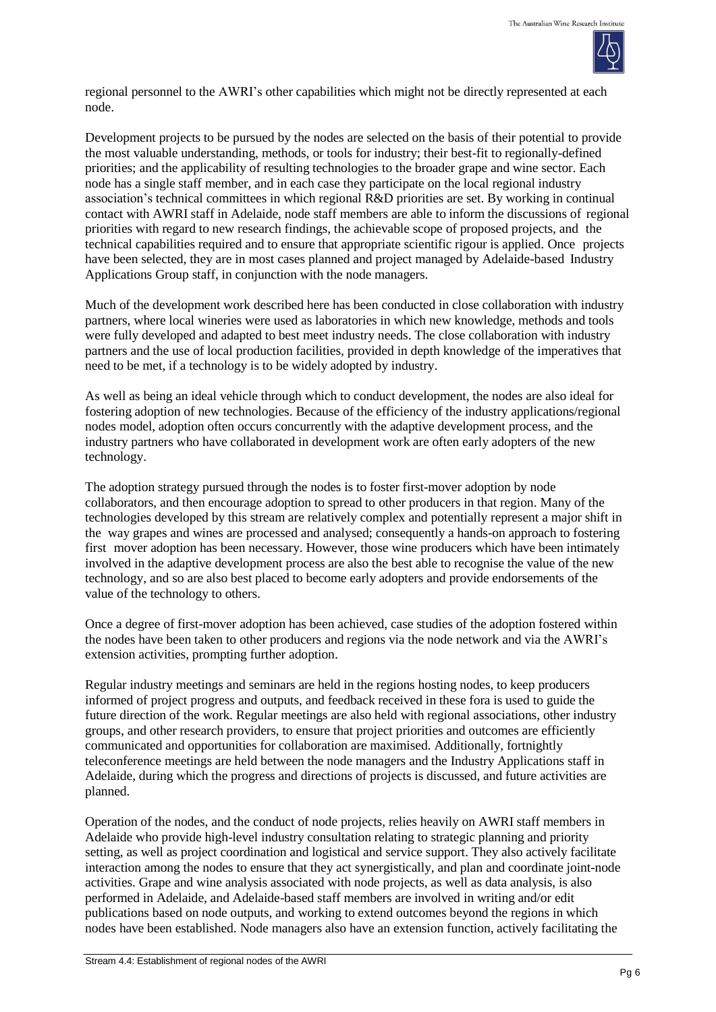

regional personnel to the AWRI's other capabilities which might not be directly represented at each node.

Development projects to be pursued by the nodes are selected on the basis of their potential to provide the most valuable understanding, methods, or tools for industry; their best-fit to regionally-defined priorities; and the applicability of resulting technologies to the broader grape and wine sector. Each node has a single staff member, and in each case they participate on the local regional industry association's technical committees in which regional R&D priorities are set. By working in continual contact with AWRI staff in Adelaide, node staff members are able to inform the discussions of regional priorities with regard to new research findings, the achievable scope of proposed projects, and the technical capabilities required and to ensure that appropriate scientific rigour is applied. Once projects have been selected, they are in most cases planned and project managed by Adelaide-based Industry Applications Group staff, in conjunction with the node managers.

Much of the development work described here has been conducted in close collaboration with industry partners, where local wineries were used as laboratories in which new knowledge, methods and tools were fully developed and adapted to best meet industry needs. The close collaboration with industry partners and the use of local production facilities, provided in depth knowledge of the imperatives that need to be met, if a technology is to be widely adopted by industry.

As well as being an ideal vehicle through which to conduct development, the nodes are also ideal for fostering adoption of new technologies. Because of the efficiency of the industry applications/regional nodes model, adoption often occurs concurrently with the adaptive development process, and the industry partners who have collaborated in development work are often early adopters of the new technology.

The adoption strategy pursued through the nodes is to foster first-mover adoption by node collaborators, and then encourage adoption to spread to other producers in that region. Many of the technologies developed by this stream are relatively complex and potentially represent a major shift in the way grapes and wines are processed and analysed; consequently a hands-on approach to fostering first mover adoption has been necessary. However, those wine producers which have been intimately involved in the adaptive development process are also the best able to recognise the value of the new technology, and so are also best placed to become early adopters and provide endorsements of the value of the technology to others.

Once a degree of first-mover adoption has been achieved, case studies of the adoption fostered within the nodes have been taken to other producers and regions via the node network and via the AWRI's extension activities, prompting further adoption.

Regular industry meetings and seminars are held in the regions hosting nodes, to keep producers informed of project progress and outputs, and feedback received in these fora is used to guide the future direction of the work. Regular meetings are also held with regional associations, other industry groups, and other research providers, to ensure that project priorities and outcomes are efficiently communicated and opportunities for collaboration are maximised. Additionally, fortnightly teleconference meetings are held between the node managers and the Industry Applications staff in Adelaide, during which the progress and directions of projects is discussed, and future activities are planned.

Operation of the nodes, and the conduct of node projects, relies heavily on AWRI staff members in Adelaide who provide high-level industry consultation relating to strategic planning and priority setting, as well as project coordination and logistical and service support. They also actively facilitate interaction among the nodes to ensure that they act synergistically, and plan and coordinate joint-node activities. Grape and wine analysis associated with node projects, as well as data analysis, is also performed in Adelaide, and Adelaide-based staff members are involved in writing and/or edit publications based on node outputs, and working to extend outcomes beyond the regions in which nodes have been established. Node managers also have an extension function, actively facilitating the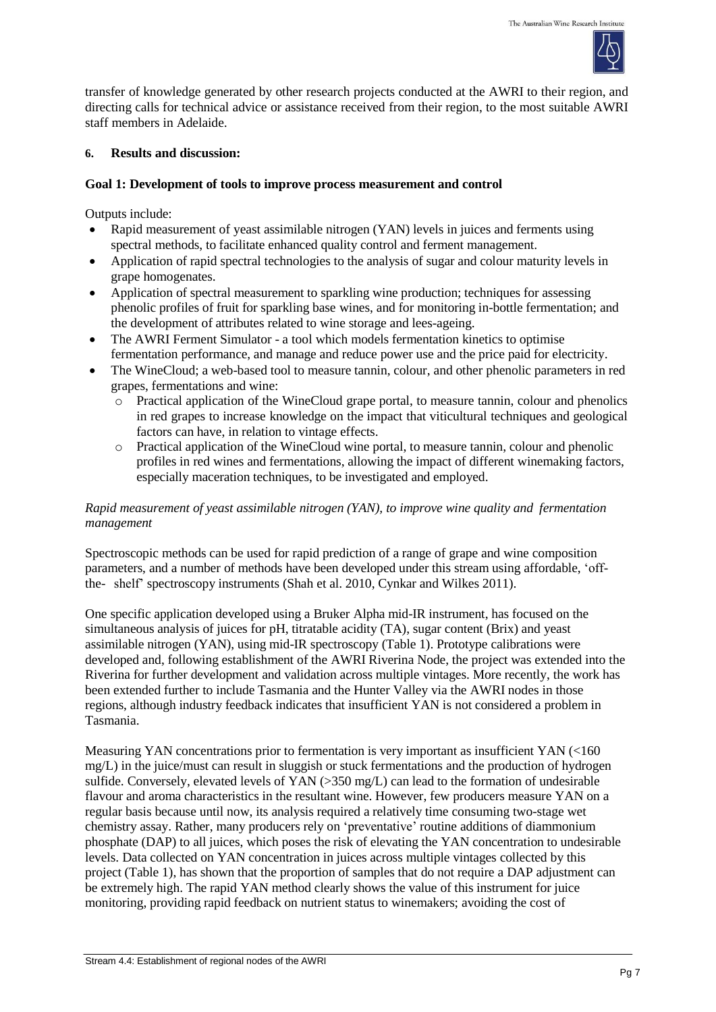

transfer of knowledge generated by other research projects conducted at the AWRI to their region, and directing calls for technical advice or assistance received from their region, to the most suitable AWRI staff members in Adelaide.

### **6. Results and discussion:**

## **Goal 1: Development of tools to improve process measurement and control**

Outputs include:

- Rapid measurement of yeast assimilable nitrogen (YAN) levels in juices and ferments using spectral methods, to facilitate enhanced quality control and ferment management.
- Application of rapid spectral technologies to the analysis of sugar and colour maturity levels in grape homogenates.
- Application of spectral measurement to sparkling wine production; techniques for assessing phenolic profiles of fruit for sparkling base wines, and for monitoring in-bottle fermentation; and the development of attributes related to wine storage and lees-ageing.
- The AWRI Ferment Simulator a tool which models fermentation kinetics to optimise fermentation performance, and manage and reduce power use and the price paid for electricity.
- The WineCloud; a web-based tool to measure tannin, colour, and other phenolic parameters in red grapes, fermentations and wine:
	- o Practical application of the WineCloud grape portal, to measure tannin, colour and phenolics in red grapes to increase knowledge on the impact that viticultural techniques and geological factors can have, in relation to vintage effects.
	- o Practical application of the WineCloud wine portal, to measure tannin, colour and phenolic profiles in red wines and fermentations, allowing the impact of different winemaking factors, especially maceration techniques, to be investigated and employed.

## *Rapid measurement of yeast assimilable nitrogen (YAN), to improve wine quality and fermentation management*

Spectroscopic methods can be used for rapid prediction of a range of grape and wine composition parameters, and a number of methods have been developed under this stream using affordable, 'offthe- shelf' spectroscopy instruments (Shah et al. 2010, Cynkar and Wilkes 2011).

One specific application developed using a Bruker Alpha mid-IR instrument, has focused on the simultaneous analysis of juices for pH, titratable acidity (TA), sugar content (Brix) and yeast assimilable nitrogen (YAN), using mid-IR spectroscopy (Table 1). Prototype calibrations were developed and, following establishment of the AWRI Riverina Node, the project was extended into the Riverina for further development and validation across multiple vintages. More recently, the work has been extended further to include Tasmania and the Hunter Valley via the AWRI nodes in those regions, although industry feedback indicates that insufficient YAN is not considered a problem in Tasmania.

Measuring YAN concentrations prior to fermentation is very important as insufficient YAN (<160 mg/L) in the juice/must can result in sluggish or stuck fermentations and the production of hydrogen sulfide. Conversely, elevated levels of YAN (>350 mg/L) can lead to the formation of undesirable flavour and aroma characteristics in the resultant wine. However, few producers measure YAN on a regular basis because until now, its analysis required a relatively time consuming two-stage wet chemistry assay. Rather, many producers rely on 'preventative' routine additions of diammonium phosphate (DAP) to all juices, which poses the risk of elevating the YAN concentration to undesirable levels. Data collected on YAN concentration in juices across multiple vintages collected by this project (Table 1), has shown that the proportion of samples that do not require a DAP adjustment can be extremely high. The rapid YAN method clearly shows the value of this instrument for juice monitoring, providing rapid feedback on nutrient status to winemakers; avoiding the cost of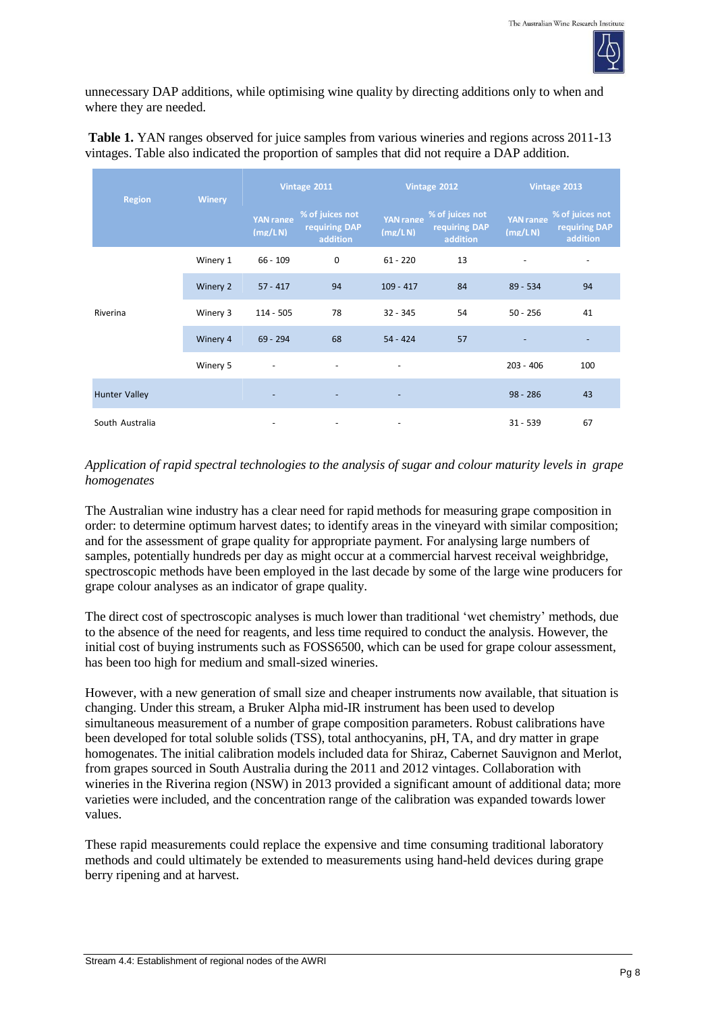

unnecessary DAP additions, while optimising wine quality by directing additions only to when and where they are needed.

**Table 1.** YAN ranges observed for juice samples from various wineries and regions across 2011-13 vintages. Table also indicated the proportion of samples that did not require a DAP addition.

| <b>Region</b>        | <b>Winery</b> |                             | Vintage 2011                                 |                             | Vintage 2012                                 |                             | Vintage 2013                                 |  |
|----------------------|---------------|-----------------------------|----------------------------------------------|-----------------------------|----------------------------------------------|-----------------------------|----------------------------------------------|--|
|                      |               | <b>YAN</b> range<br>(mz/LN) | % of juices not<br>requiring DAP<br>addition | <b>YAN</b> range<br>(mz/LN) | % of juices not<br>requiring DAP<br>addition | <b>YAN</b> range<br>(mg/LN) | % of juices not<br>requiring DAP<br>addition |  |
|                      | Winery 1      | $66 - 109$                  | $\mathbf 0$                                  | $61 - 220$                  | 13                                           |                             |                                              |  |
|                      | Winery 2      | $57 - 417$                  | 94                                           | $109 - 417$                 | 84                                           | $89 - 534$                  | 94                                           |  |
| Riverina             | Winery 3      | $114 - 505$                 | 78                                           | $32 - 345$                  | 54                                           | $50 - 256$                  | 41                                           |  |
|                      | Winery 4      | $69 - 294$                  | 68                                           | $54 - 424$                  | 57                                           |                             |                                              |  |
|                      | Winery 5      | $\overline{\phantom{a}}$    |                                              | $\overline{\phantom{a}}$    |                                              | $203 - 406$                 | 100                                          |  |
| <b>Hunter Valley</b> |               |                             |                                              | $\overline{\phantom{a}}$    |                                              | $98 - 286$                  | 43                                           |  |
| South Australia      |               |                             | $\overline{\phantom{a}}$                     | $\overline{\phantom{a}}$    |                                              | $31 - 539$                  | 67                                           |  |

# *Application of rapid spectral technologies to the analysis of sugar and colour maturity levels in grape homogenates*

The Australian wine industry has a clear need for rapid methods for measuring grape composition in order: to determine optimum harvest dates; to identify areas in the vineyard with similar composition; and for the assessment of grape quality for appropriate payment. For analysing large numbers of samples, potentially hundreds per day as might occur at a commercial harvest receival weighbridge, spectroscopic methods have been employed in the last decade by some of the large wine producers for grape colour analyses as an indicator of grape quality.

The direct cost of spectroscopic analyses is much lower than traditional 'wet chemistry' methods, due to the absence of the need for reagents, and less time required to conduct the analysis. However, the initial cost of buying instruments such as FOSS6500, which can be used for grape colour assessment, has been too high for medium and small-sized wineries.

However, with a new generation of small size and cheaper instruments now available, that situation is changing. Under this stream, a Bruker Alpha mid-IR instrument has been used to develop simultaneous measurement of a number of grape composition parameters. Robust calibrations have been developed for total soluble solids (TSS), total anthocyanins, pH, TA, and dry matter in grape homogenates. The initial calibration models included data for Shiraz, Cabernet Sauvignon and Merlot, from grapes sourced in South Australia during the 2011 and 2012 vintages. Collaboration with wineries in the Riverina region (NSW) in 2013 provided a significant amount of additional data; more varieties were included, and the concentration range of the calibration was expanded towards lower values.

These rapid measurements could replace the expensive and time consuming traditional laboratory methods and could ultimately be extended to measurements using hand-held devices during grape berry ripening and at harvest.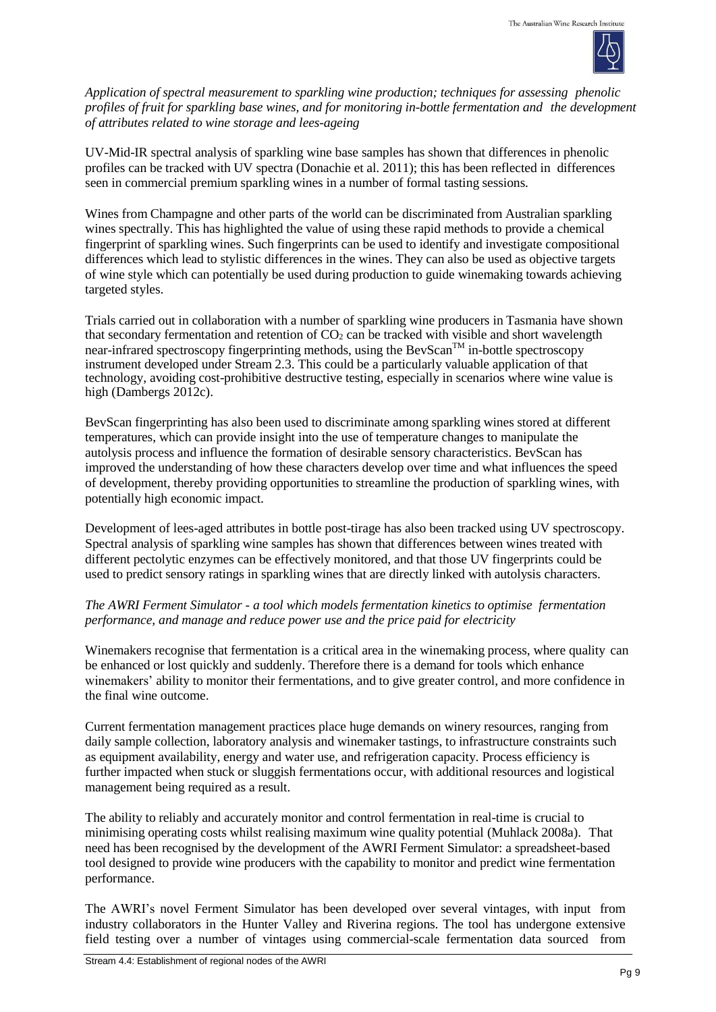

*Application of spectral measurement to sparkling wine production; techniques for assessing phenolic profiles of fruit for sparkling base wines, and for monitoring in-bottle fermentation and the development of attributes related to wine storage and lees-ageing*

UV-Mid-IR spectral analysis of sparkling wine base samples has shown that differences in phenolic profiles can be tracked with UV spectra (Donachie et al. 2011); this has been reflected in differences seen in commercial premium sparkling wines in a number of formal tasting sessions.

Wines from Champagne and other parts of the world can be discriminated from Australian sparkling wines spectrally. This has highlighted the value of using these rapid methods to provide a chemical fingerprint of sparkling wines. Such fingerprints can be used to identify and investigate compositional differences which lead to stylistic differences in the wines. They can also be used as objective targets of wine style which can potentially be used during production to guide winemaking towards achieving targeted styles.

Trials carried out in collaboration with a number of sparkling wine producers in Tasmania have shown that secondary fermentation and retention of  $CO<sub>2</sub>$  can be tracked with visible and short wavelength near-infrared spectroscopy fingerprinting methods, using the BevScan<sup>TM</sup> in-bottle spectroscopy instrument developed under Stream 2.3. This could be a particularly valuable application of that technology, avoiding cost-prohibitive destructive testing, especially in scenarios where wine value is high (Dambergs 2012c).

BevScan fingerprinting has also been used to discriminate among sparkling wines stored at different temperatures, which can provide insight into the use of temperature changes to manipulate the autolysis process and influence the formation of desirable sensory characteristics. BevScan has improved the understanding of how these characters develop over time and what influences the speed of development, thereby providing opportunities to streamline the production of sparkling wines, with potentially high economic impact.

Development of lees-aged attributes in bottle post-tirage has also been tracked using UV spectroscopy. Spectral analysis of sparkling wine samples has shown that differences between wines treated with different pectolytic enzymes can be effectively monitored, and that those UV fingerprints could be used to predict sensory ratings in sparkling wines that are directly linked with autolysis characters.

# *The AWRI Ferment Simulator - a tool which models fermentation kinetics to optimise fermentation performance, and manage and reduce power use and the price paid for electricity*

Winemakers recognise that fermentation is a critical area in the winemaking process, where quality can be enhanced or lost quickly and suddenly. Therefore there is a demand for tools which enhance winemakers' ability to monitor their fermentations, and to give greater control, and more confidence in the final wine outcome.

Current fermentation management practices place huge demands on winery resources, ranging from daily sample collection, laboratory analysis and winemaker tastings, to infrastructure constraints such as equipment availability, energy and water use, and refrigeration capacity. Process efficiency is further impacted when stuck or sluggish fermentations occur, with additional resources and logistical management being required as a result.

The ability to reliably and accurately monitor and control fermentation in real-time is crucial to minimising operating costs whilst realising maximum wine quality potential (Muhlack 2008a). That need has been recognised by the development of the AWRI Ferment Simulator: a spreadsheet-based tool designed to provide wine producers with the capability to monitor and predict wine fermentation performance.

The AWRI's novel Ferment Simulator has been developed over several vintages, with input from industry collaborators in the Hunter Valley and Riverina regions. The tool has undergone extensive field testing over a number of vintages using commercial-scale fermentation data sourced from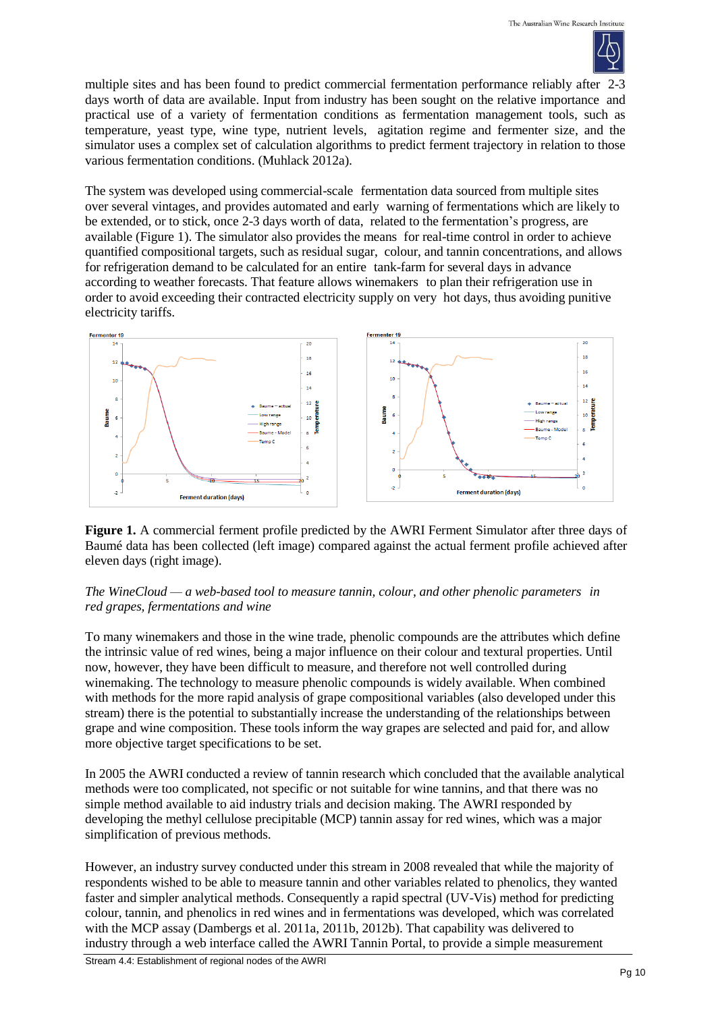

multiple sites and has been found to predict commercial fermentation performance reliably after 2-3 days worth of data are available. Input from industry has been sought on the relative importance and practical use of a variety of fermentation conditions as fermentation management tools, such as temperature, yeast type, wine type, nutrient levels, agitation regime and fermenter size, and the simulator uses a complex set of calculation algorithms to predict ferment trajectory in relation to those various fermentation conditions. (Muhlack 2012a).

The system was developed using commercial-scale fermentation data sourced from multiple sites over several vintages, and provides automated and early warning of fermentations which are likely to be extended, or to stick, once 2-3 days worth of data, related to the fermentation's progress, are available (Figure 1). The simulator also provides the means for real-time control in order to achieve quantified compositional targets, such as residual sugar, colour, and tannin concentrations, and allows for refrigeration demand to be calculated for an entire tank-farm for several days in advance according to weather forecasts. That feature allows winemakers to plan their refrigeration use in order to avoid exceeding their contracted electricity supply on very hot days, thus avoiding punitive electricity tariffs.



**Figure 1.** A commercial ferment profile predicted by the AWRI Ferment Simulator after three days of Baumé data has been collected (left image) compared against the actual ferment profile achieved after eleven days (right image).

*The WineCloud — a web-based tool to measure tannin, colour, and other phenolic parameters in red grapes, fermentations and wine*

To many winemakers and those in the wine trade, phenolic compounds are the attributes which define the intrinsic value of red wines, being a major influence on their colour and textural properties. Until now, however, they have been difficult to measure, and therefore not well controlled during winemaking. The technology to measure phenolic compounds is widely available. When combined with methods for the more rapid analysis of grape compositional variables (also developed under this stream) there is the potential to substantially increase the understanding of the relationships between grape and wine composition. These tools inform the way grapes are selected and paid for, and allow more objective target specifications to be set.

In 2005 the AWRI conducted a review of tannin research which concluded that the available analytical methods were too complicated, not specific or not suitable for wine tannins, and that there was no simple method available to aid industry trials and decision making. The AWRI responded by developing the methyl cellulose precipitable (MCP) tannin assay for red wines, which was a major simplification of previous methods.

However, an industry survey conducted under this stream in 2008 revealed that while the majority of respondents wished to be able to measure tannin and other variables related to phenolics, they wanted faster and simpler analytical methods. Consequently a rapid spectral (UV-Vis) method for predicting colour, tannin, and phenolics in red wines and in fermentations was developed, which was correlated with the MCP assay (Dambergs et al. 2011a, 2011b, 2012b). That capability was delivered to industry through a web interface called the AWRI Tannin Portal, to provide a simple measurement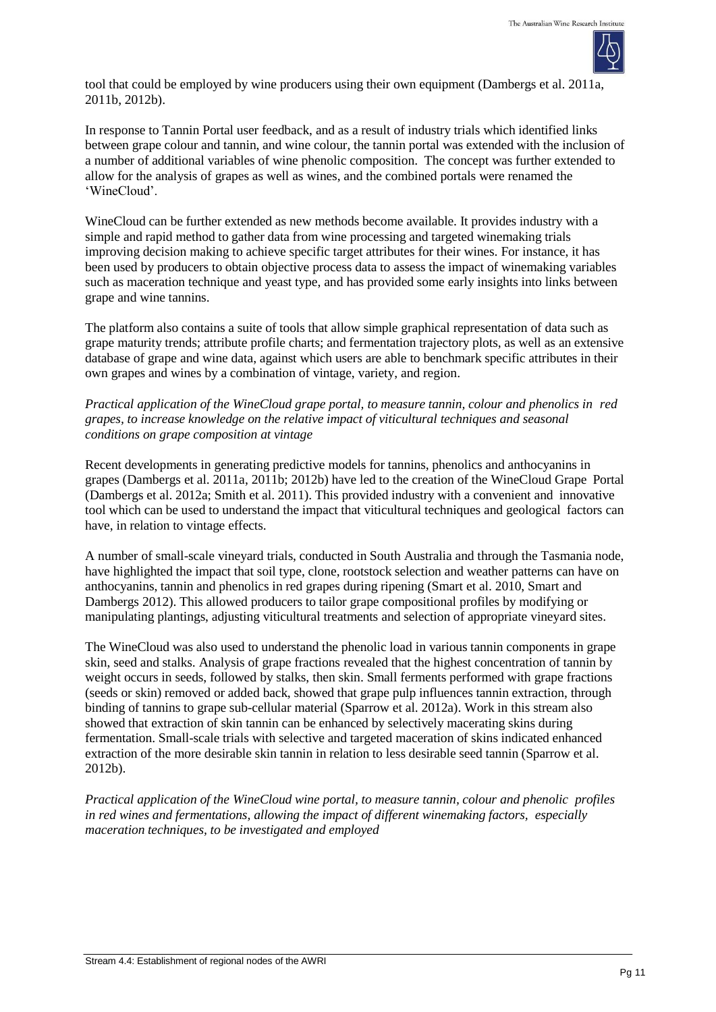

tool that could be employed by wine producers using their own equipment (Dambergs et al. 2011a, 2011b, 2012b).

In response to Tannin Portal user feedback, and as a result of industry trials which identified links between grape colour and tannin, and wine colour, the tannin portal was extended with the inclusion of a number of additional variables of wine phenolic composition. The concept was further extended to allow for the analysis of grapes as well as wines, and the combined portals were renamed the 'WineCloud'.

WineCloud can be further extended as new methods become available. It provides industry with a simple and rapid method to gather data from wine processing and targeted winemaking trials improving decision making to achieve specific target attributes for their wines. For instance, it has been used by producers to obtain objective process data to assess the impact of winemaking variables such as maceration technique and yeast type, and has provided some early insights into links between grape and wine tannins.

The platform also contains a suite of tools that allow simple graphical representation of data such as grape maturity trends; attribute profile charts; and fermentation trajectory plots, as well as an extensive database of grape and wine data, against which users are able to benchmark specific attributes in their own grapes and wines by a combination of vintage, variety, and region.

*Practical application of the WineCloud grape portal, to measure tannin, colour and phenolics in red grapes, to increase knowledge on the relative impact of viticultural techniques and seasonal conditions on grape composition at vintage*

Recent developments in generating predictive models for tannins, phenolics and anthocyanins in grapes (Dambergs et al. 2011a, 2011b; 2012b) have led to the creation of the WineCloud Grape Portal (Dambergs et al. 2012a; Smith et al. 2011). This provided industry with a convenient and innovative tool which can be used to understand the impact that viticultural techniques and geological factors can have, in relation to vintage effects.

A number of small-scale vineyard trials, conducted in South Australia and through the Tasmania node, have highlighted the impact that soil type, clone, rootstock selection and weather patterns can have on anthocyanins, tannin and phenolics in red grapes during ripening (Smart et al. 2010, Smart and Dambergs 2012). This allowed producers to tailor grape compositional profiles by modifying or manipulating plantings, adjusting viticultural treatments and selection of appropriate vineyard sites.

The WineCloud was also used to understand the phenolic load in various tannin components in grape skin, seed and stalks. Analysis of grape fractions revealed that the highest concentration of tannin by weight occurs in seeds, followed by stalks, then skin. Small ferments performed with grape fractions (seeds or skin) removed or added back, showed that grape pulp influences tannin extraction, through binding of tannins to grape sub-cellular material (Sparrow et al. 2012a). Work in this stream also showed that extraction of skin tannin can be enhanced by selectively macerating skins during fermentation. Small-scale trials with selective and targeted maceration of skins indicated enhanced extraction of the more desirable skin tannin in relation to less desirable seed tannin (Sparrow et al. 2012b).

*Practical application of the WineCloud wine portal, to measure tannin, colour and phenolic profiles in red wines and fermentations, allowing the impact of different winemaking factors, especially maceration techniques, to be investigated and employed*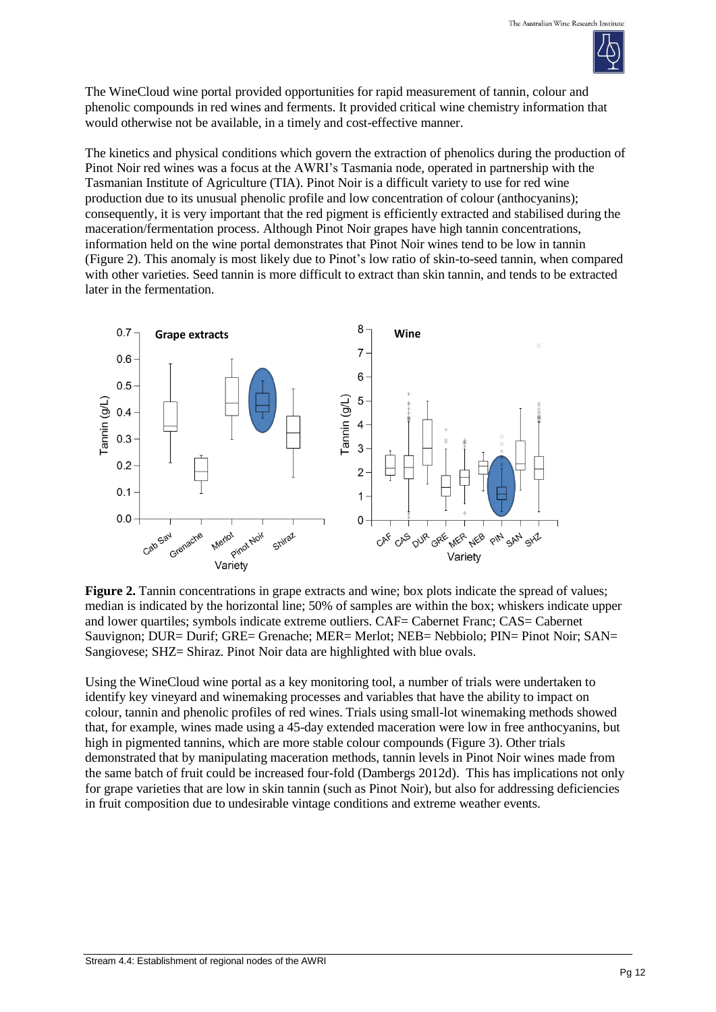

The WineCloud wine portal provided opportunities for rapid measurement of tannin, colour and phenolic compounds in red wines and ferments. It provided critical wine chemistry information that would otherwise not be available, in a timely and cost-effective manner.

The kinetics and physical conditions which govern the extraction of phenolics during the production of Pinot Noir red wines was a focus at the AWRI's Tasmania node, operated in partnership with the Tasmanian Institute of Agriculture (TIA). Pinot Noir is a difficult variety to use for red wine production due to its unusual phenolic profile and low concentration of colour (anthocyanins); consequently, it is very important that the red pigment is efficiently extracted and stabilised during the maceration/fermentation process. Although Pinot Noir grapes have high tannin concentrations, information held on the wine portal demonstrates that Pinot Noir wines tend to be low in tannin (Figure 2). This anomaly is most likely due to Pinot's low ratio of skin-to-seed tannin, when compared with other varieties. Seed tannin is more difficult to extract than skin tannin, and tends to be extracted later in the fermentation.



**Figure 2.** Tannin concentrations in grape extracts and wine; box plots indicate the spread of values; median is indicated by the horizontal line; 50% of samples are within the box; whiskers indicate upper and lower quartiles; symbols indicate extreme outliers. CAF= Cabernet Franc; CAS= Cabernet Sauvignon; DUR= Durif; GRE= Grenache; MER= Merlot; NEB= Nebbiolo; PIN= Pinot Noir; SAN= Sangiovese; SHZ= Shiraz. Pinot Noir data are highlighted with blue ovals.

Using the WineCloud wine portal as a key monitoring tool, a number of trials were undertaken to identify key vineyard and winemaking processes and variables that have the ability to impact on colour, tannin and phenolic profiles of red wines. Trials using small-lot winemaking methods showed that, for example, wines made using a 45-day extended maceration were low in free anthocyanins, but high in pigmented tannins, which are more stable colour compounds (Figure 3). Other trials demonstrated that by manipulating maceration methods, tannin levels in Pinot Noir wines made from the same batch of fruit could be increased four-fold (Dambergs 2012d). This has implications not only for grape varieties that are low in skin tannin (such as Pinot Noir), but also for addressing deficiencies in fruit composition due to undesirable vintage conditions and extreme weather events.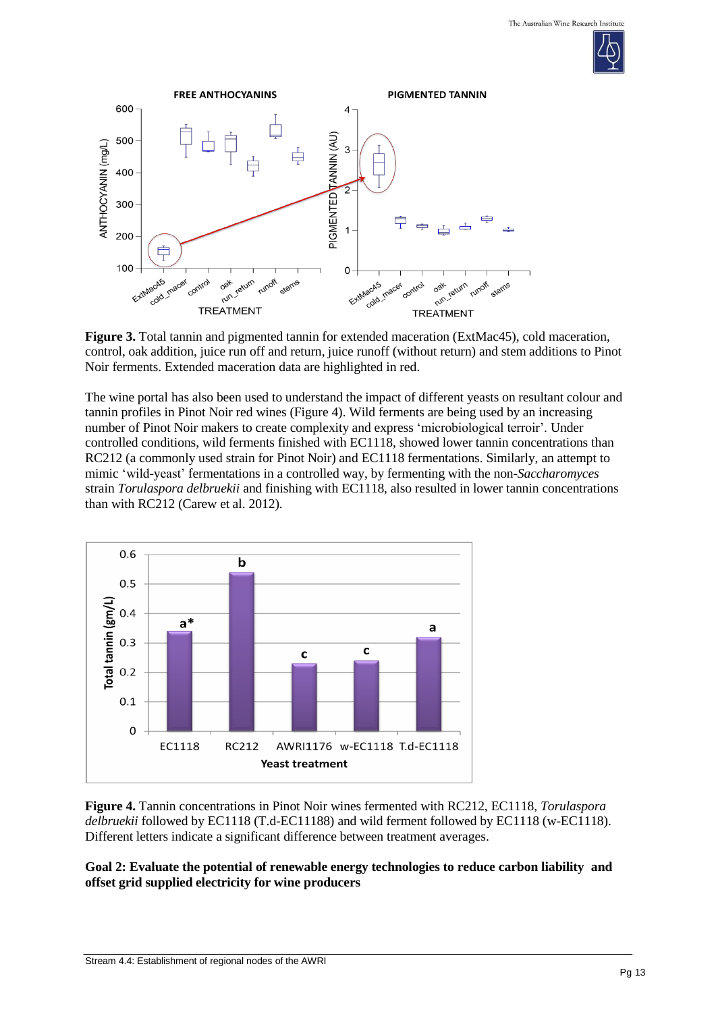



**Figure 3.** Total tannin and pigmented tannin for extended maceration (ExtMac45), cold maceration, control, oak addition, juice run off and return, juice runoff (without return) and stem additions to Pinot Noir ferments. Extended maceration data are highlighted in red.

The wine portal has also been used to understand the impact of different yeasts on resultant colour and tannin profiles in Pinot Noir red wines (Figure 4). Wild ferments are being used by an increasing number of Pinot Noir makers to create complexity and express 'microbiological terroir'. Under controlled conditions, wild ferments finished with EC1118, showed lower tannin concentrations than RC212 (a commonly used strain for Pinot Noir) and EC1118 fermentations. Similarly, an attempt to mimic 'wild-yeast' fermentations in a controlled way, by fermenting with the non-*Saccharomyces* strain *Torulaspora delbruekii* and finishing with EC1118, also resulted in lower tannin concentrations than with RC212 (Carew et al. 2012).



**Figure 4.** Tannin concentrations in Pinot Noir wines fermented with RC212, EC1118, *Torulaspora delbruekii* followed by EC1118 (T.d-EC11188) and wild ferment followed by EC1118 (w-EC1118). Different letters indicate a significant difference between treatment averages.

## **Goal 2: Evaluate the potential of renewable energy technologies to reduce carbon liability and offset grid supplied electricity for wine producers**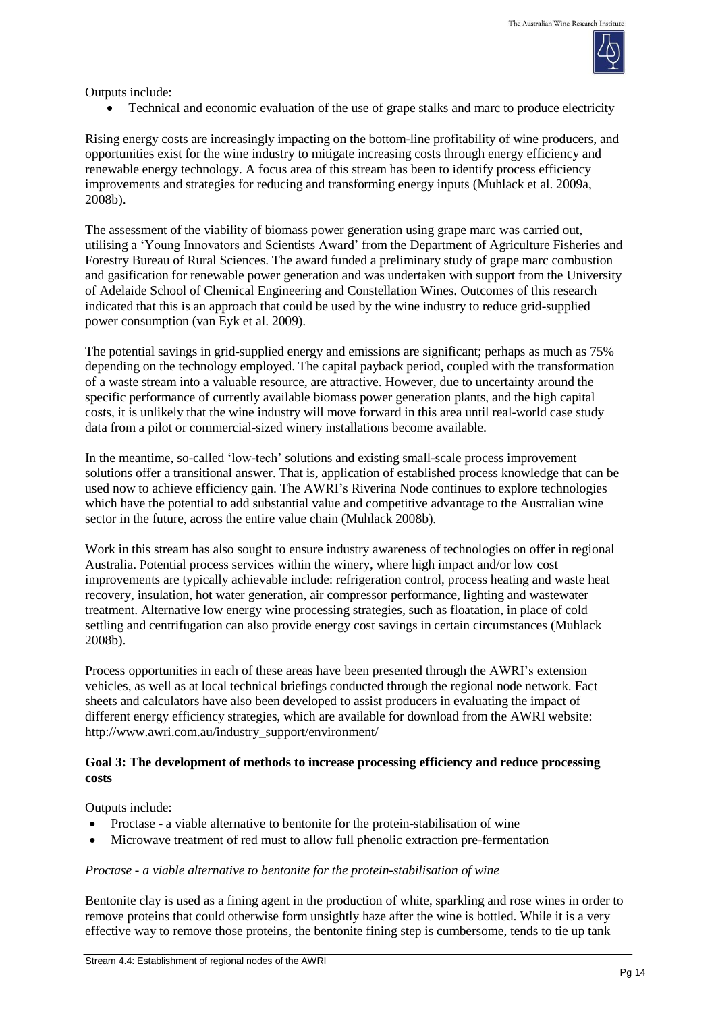

Outputs include:

• Technical and economic evaluation of the use of grape stalks and marc to produce electricity

Rising energy costs are increasingly impacting on the bottom-line profitability of wine producers, and opportunities exist for the wine industry to mitigate increasing costs through energy efficiency and renewable energy technology. A focus area of this stream has been to identify process efficiency improvements and strategies for reducing and transforming energy inputs (Muhlack et al. 2009a, 2008b).

The assessment of the viability of biomass power generation using grape marc was carried out, utilising a 'Young Innovators and Scientists Award' from the Department of Agriculture Fisheries and Forestry Bureau of Rural Sciences. The award funded a preliminary study of grape marc combustion and gasification for renewable power generation and was undertaken with support from the University of Adelaide School of Chemical Engineering and Constellation Wines. Outcomes of this research indicated that this is an approach that could be used by the wine industry to reduce grid-supplied power consumption (van Eyk et al. 2009).

The potential savings in grid-supplied energy and emissions are significant; perhaps as much as 75% depending on the technology employed. The capital payback period, coupled with the transformation of a waste stream into a valuable resource, are attractive. However, due to uncertainty around the specific performance of currently available biomass power generation plants, and the high capital costs, it is unlikely that the wine industry will move forward in this area until real-world case study data from a pilot or commercial-sized winery installations become available.

In the meantime, so-called 'low-tech' solutions and existing small-scale process improvement solutions offer a transitional answer. That is, application of established process knowledge that can be used now to achieve efficiency gain. The AWRI's Riverina Node continues to explore technologies which have the potential to add substantial value and competitive advantage to the Australian wine sector in the future, across the entire value chain (Muhlack 2008b).

Work in this stream has also sought to ensure industry awareness of technologies on offer in regional Australia. Potential process services within the winery, where high impact and/or low cost improvements are typically achievable include: refrigeration control, process heating and waste heat recovery, insulation, hot water generation, air compressor performance, lighting and wastewater treatment. Alternative low energy wine processing strategies, such as floatation, in place of cold settling and centrifugation can also provide energy cost savings in certain circumstances (Muhlack 2008b).

Process opportunities in each of these areas have been presented through the AWRI's extension vehicles, as well as at local technical briefings conducted through the regional node network. Fact sheets and calculators have also been developed to assist producers in evaluating the impact of different energy efficiency strategies, which are available for download from the AWRI website[:](http://www.awri.com.au/industry_support/environment/) [http://www.awri.com.au/industry\\_support/environment/](http://www.awri.com.au/industry_support/environment/)

## **Goal 3: The development of methods to increase processing efficiency and reduce processing costs**

Outputs include:

- Proctase a viable alternative to bentonite for the protein-stabilisation of wine
- Microwave treatment of red must to allow full phenolic extraction pre-fermentation

### *Proctase - a viable alternative to bentonite for the protein-stabilisation of wine*

Bentonite clay is used as a fining agent in the production of white, sparkling and rose wines in order to remove proteins that could otherwise form unsightly haze after the wine is bottled. While it is a very effective way to remove those proteins, the bentonite fining step is cumbersome, tends to tie up tank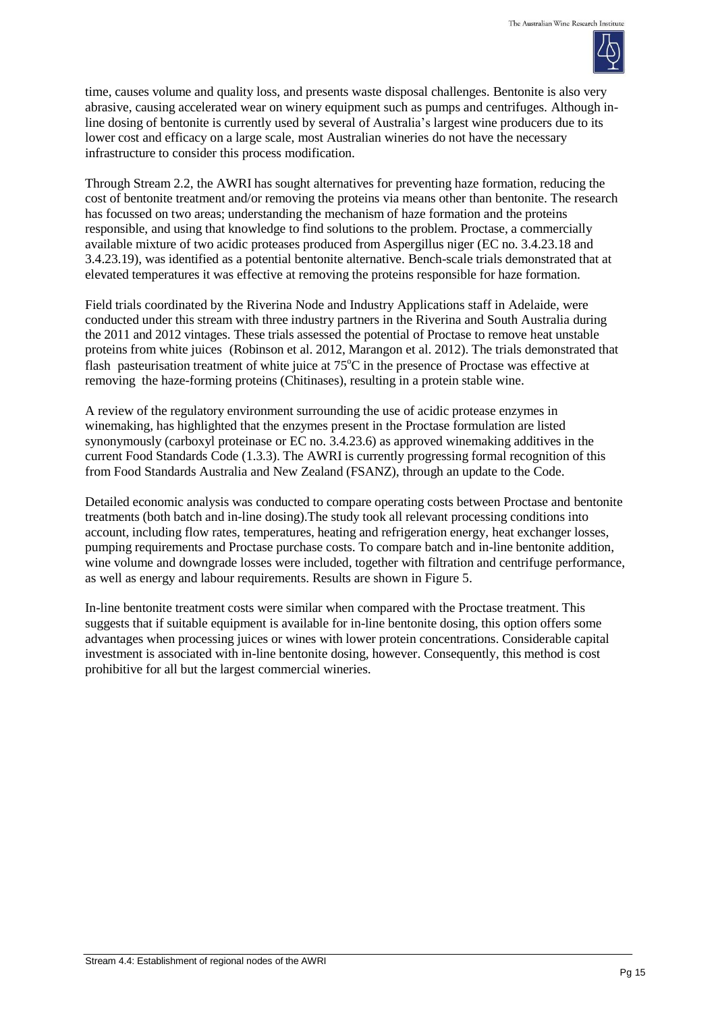

time, causes volume and quality loss, and presents waste disposal challenges. Bentonite is also very abrasive, causing accelerated wear on winery equipment such as pumps and centrifuges. Although inline dosing of bentonite is currently used by several of Australia's largest wine producers due to its lower cost and efficacy on a large scale, most Australian wineries do not have the necessary infrastructure to consider this process modification.

Through Stream 2.2, the AWRI has sought alternatives for preventing haze formation, reducing the cost of bentonite treatment and/or removing the proteins via means other than bentonite. The research has focussed on two areas; understanding the mechanism of haze formation and the proteins responsible, and using that knowledge to find solutions to the problem. Proctase, a commercially available mixture of two acidic proteases produced from Aspergillus niger (EC no. 3.4.23.18 and 3.4.23.19), was identified as a potential bentonite alternative. Bench-scale trials demonstrated that at elevated temperatures it was effective at removing the proteins responsible for haze formation.

Field trials coordinated by the Riverina Node and Industry Applications staff in Adelaide, were conducted under this stream with three industry partners in the Riverina and South Australia during the 2011 and 2012 vintages. These trials assessed the potential of Proctase to remove heat unstable proteins from white juices (Robinson et al. 2012, Marangon et al. 2012). The trials demonstrated that flash pasteurisation treatment of white juice at  $75^{\circ}$ C in the presence of Proctase was effective at removing the haze-forming proteins (Chitinases), resulting in a protein stable wine.

A review of the regulatory environment surrounding the use of acidic protease enzymes in winemaking, has highlighted that the enzymes present in the Proctase formulation are listed synonymously (carboxyl proteinase or EC no. 3.4.23.6) as approved winemaking additives in the current Food Standards Code (1.3.3). The AWRI is currently progressing formal recognition of this from Food Standards Australia and New Zealand (FSANZ), through an update to the Code.

Detailed economic analysis was conducted to compare operating costs between Proctase and bentonite treatments (both batch and in-line dosing).The study took all relevant processing conditions into account, including flow rates, temperatures, heating and refrigeration energy, heat exchanger losses, pumping requirements and Proctase purchase costs. To compare batch and in-line bentonite addition, wine volume and downgrade losses were included, together with filtration and centrifuge performance, as well as energy and labour requirements. Results are shown in Figure 5.

In-line bentonite treatment costs were similar when compared with the Proctase treatment. This suggests that if suitable equipment is available for in-line bentonite dosing, this option offers some advantages when processing juices or wines with lower protein concentrations. Considerable capital investment is associated with in-line bentonite dosing, however. Consequently, this method is cost prohibitive for all but the largest commercial wineries.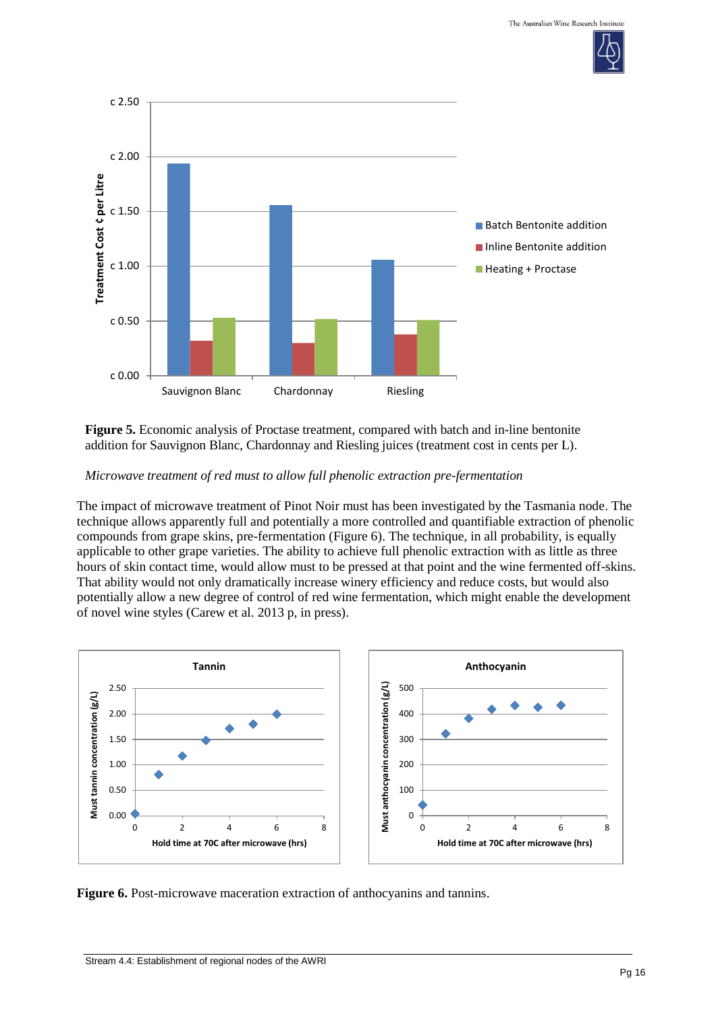



**Figure 5.** Economic analysis of Proctase treatment, compared with batch and in-line bentonite addition for Sauvignon Blanc, Chardonnay and Riesling juices (treatment cost in cents per L).

#### *Microwave treatment of red must to allow full phenolic extraction pre-fermentation*

The impact of microwave treatment of Pinot Noir must has been investigated by the Tasmania node. The technique allows apparently full and potentially a more controlled and quantifiable extraction of phenolic compounds from grape skins, pre-fermentation (Figure 6). The technique, in all probability, is equally applicable to other grape varieties. The ability to achieve full phenolic extraction with as little as three hours of skin contact time, would allow must to be pressed at that point and the wine fermented off-skins. That ability would not only dramatically increase winery efficiency and reduce costs, but would also potentially allow a new degree of control of red wine fermentation, which might enable the development of novel wine styles (Carew et al. 2013 p, in press).



**Figure 6.** Post-microwave maceration extraction of anthocyanins and tannins.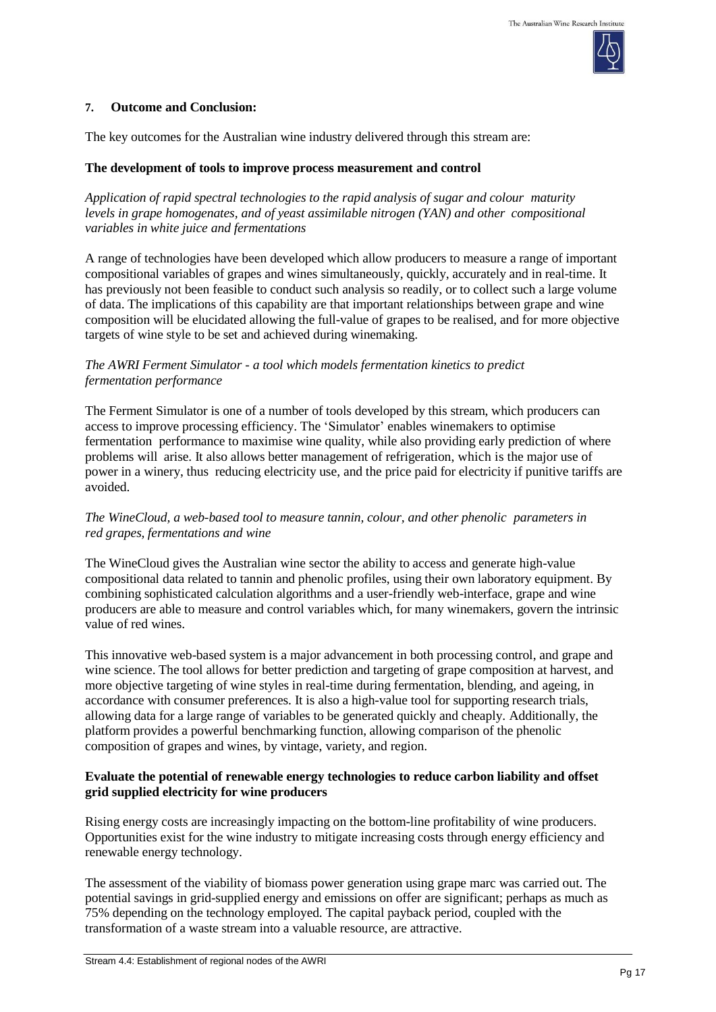

#### **7. Outcome and Conclusion:**

The key outcomes for the Australian wine industry delivered through this stream are:

### **The development of tools to improve process measurement and control**

*Application of rapid spectral technologies to the rapid analysis of sugar and colour maturity levels in grape homogenates, and of yeast assimilable nitrogen (YAN) and other compositional variables in white juice and fermentations*

A range of technologies have been developed which allow producers to measure a range of important compositional variables of grapes and wines simultaneously, quickly, accurately and in real-time. It has previously not been feasible to conduct such analysis so readily, or to collect such a large volume of data. The implications of this capability are that important relationships between grape and wine composition will be elucidated allowing the full-value of grapes to be realised, and for more objective targets of wine style to be set and achieved during winemaking.

### *The AWRI Ferment Simulator - a tool which models fermentation kinetics to predict fermentation performance*

The Ferment Simulator is one of a number of tools developed by this stream, which producers can access to improve processing efficiency. The 'Simulator' enables winemakers to optimise fermentation performance to maximise wine quality, while also providing early prediction of where problems will arise. It also allows better management of refrigeration, which is the major use of power in a winery, thus reducing electricity use, and the price paid for electricity if punitive tariffs are avoided.

## *The WineCloud, a web-based tool to measure tannin, colour, and other phenolic parameters in red grapes, fermentations and wine*

The WineCloud gives the Australian wine sector the ability to access and generate high-value compositional data related to tannin and phenolic profiles, using their own laboratory equipment. By combining sophisticated calculation algorithms and a user-friendly web-interface, grape and wine producers are able to measure and control variables which, for many winemakers, govern the intrinsic value of red wines.

This innovative web-based system is a major advancement in both processing control, and grape and wine science. The tool allows for better prediction and targeting of grape composition at harvest, and more objective targeting of wine styles in real-time during fermentation, blending, and ageing, in accordance with consumer preferences. It is also a high-value tool for supporting research trials, allowing data for a large range of variables to be generated quickly and cheaply. Additionally, the platform provides a powerful benchmarking function, allowing comparison of the phenolic composition of grapes and wines, by vintage, variety, and region.

## **Evaluate the potential of renewable energy technologies to reduce carbon liability and offset grid supplied electricity for wine producers**

Rising energy costs are increasingly impacting on the bottom-line profitability of wine producers. Opportunities exist for the wine industry to mitigate increasing costs through energy efficiency and renewable energy technology.

The assessment of the viability of biomass power generation using grape marc was carried out. The potential savings in grid-supplied energy and emissions on offer are significant; perhaps as much as 75% depending on the technology employed. The capital payback period, coupled with the transformation of a waste stream into a valuable resource, are attractive.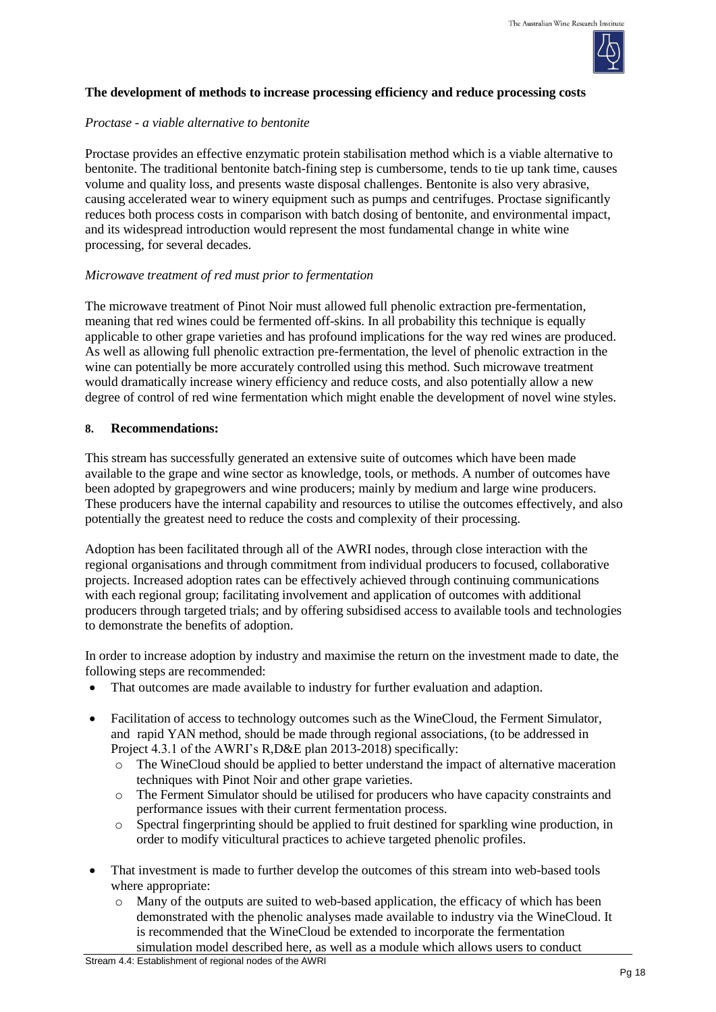

## **The development of methods to increase processing efficiency and reduce processing costs**

### *Proctase - a viable alternative to bentonite*

Proctase provides an effective enzymatic protein stabilisation method which is a viable alternative to bentonite. The traditional bentonite batch-fining step is cumbersome, tends to tie up tank time, causes volume and quality loss, and presents waste disposal challenges. Bentonite is also very abrasive, causing accelerated wear to winery equipment such as pumps and centrifuges. Proctase significantly reduces both process costs in comparison with batch dosing of bentonite, and environmental impact, and its widespread introduction would represent the most fundamental change in white wine processing, for several decades.

### *Microwave treatment of red must prior to fermentation*

The microwave treatment of Pinot Noir must allowed full phenolic extraction pre-fermentation, meaning that red wines could be fermented off-skins. In all probability this technique is equally applicable to other grape varieties and has profound implications for the way red wines are produced. As well as allowing full phenolic extraction pre-fermentation, the level of phenolic extraction in the wine can potentially be more accurately controlled using this method. Such microwave treatment would dramatically increase winery efficiency and reduce costs, and also potentially allow a new degree of control of red wine fermentation which might enable the development of novel wine styles.

### **8. Recommendations:**

This stream has successfully generated an extensive suite of outcomes which have been made available to the grape and wine sector as knowledge, tools, or methods. A number of outcomes have been adopted by grapegrowers and wine producers; mainly by medium and large wine producers. These producers have the internal capability and resources to utilise the outcomes effectively, and also potentially the greatest need to reduce the costs and complexity of their processing.

Adoption has been facilitated through all of the AWRI nodes, through close interaction with the regional organisations and through commitment from individual producers to focused, collaborative projects. Increased adoption rates can be effectively achieved through continuing communications with each regional group; facilitating involvement and application of outcomes with additional producers through targeted trials; and by offering subsidised access to available tools and technologies to demonstrate the benefits of adoption.

In order to increase adoption by industry and maximise the return on the investment made to date, the following steps are recommended:

- That outcomes are made available to industry for further evaluation and adaption.
- Facilitation of access to technology outcomes such as the WineCloud, the Ferment Simulator, and rapid YAN method, should be made through regional associations, (to be addressed in Project 4.3.1 of the AWRI's R,D&E plan 2013-2018) specifically:
	- o The WineCloud should be applied to better understand the impact of alternative maceration techniques with Pinot Noir and other grape varieties.
	- o The Ferment Simulator should be utilised for producers who have capacity constraints and performance issues with their current fermentation process.
	- o Spectral fingerprinting should be applied to fruit destined for sparkling wine production, in order to modify viticultural practices to achieve targeted phenolic profiles.
- That investment is made to further develop the outcomes of this stream into web-based tools where appropriate:
	- $\circ$  Many of the outputs are suited to web-based application, the efficacy of which has been demonstrated with the phenolic analyses made available to industry via the WineCloud. It is recommended that the WineCloud be extended to incorporate the fermentation simulation model described here, as well as a module which allows users to conduct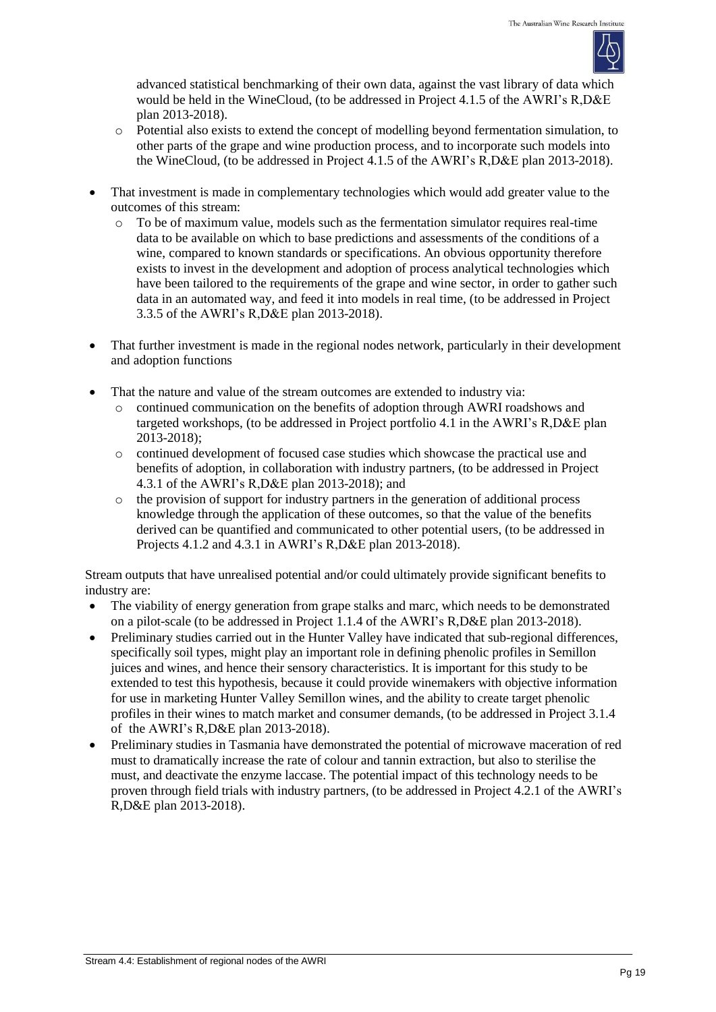

advanced statistical benchmarking of their own data, against the vast library of data which would be held in the WineCloud, (to be addressed in Project 4.1.5 of the AWRI's R,D&E plan 2013-2018).

- o Potential also exists to extend the concept of modelling beyond fermentation simulation, to other parts of the grape and wine production process, and to incorporate such models into the WineCloud, (to be addressed in Project 4.1.5 of the AWRI's R,D&E plan 2013-2018).
- That investment is made in complementary technologies which would add greater value to the outcomes of this stream:
	- $\circ$  To be of maximum value, models such as the fermentation simulator requires real-time data to be available on which to base predictions and assessments of the conditions of a wine, compared to known standards or specifications. An obvious opportunity therefore exists to invest in the development and adoption of process analytical technologies which have been tailored to the requirements of the grape and wine sector, in order to gather such data in an automated way, and feed it into models in real time, (to be addressed in Project 3.3.5 of the AWRI's R,D&E plan 2013-2018).
- That further investment is made in the regional nodes network, particularly in their development and adoption functions
- That the nature and value of the stream outcomes are extended to industry via:
	- o continued communication on the benefits of adoption through AWRI roadshows and targeted workshops, (to be addressed in Project portfolio 4.1 in the AWRI's R,D&E plan 2013-2018);
	- o continued development of focused case studies which showcase the practical use and benefits of adoption, in collaboration with industry partners, (to be addressed in Project 4.3.1 of the AWRI's R,D&E plan 2013-2018); and
	- $\circ$  the provision of support for industry partners in the generation of additional process knowledge through the application of these outcomes, so that the value of the benefits derived can be quantified and communicated to other potential users, (to be addressed in Projects 4.1.2 and 4.3.1 in AWRI's R,D&E plan 2013-2018).

Stream outputs that have unrealised potential and/or could ultimately provide significant benefits to industry are:

- The viability of energy generation from grape stalks and marc, which needs to be demonstrated on a pilot-scale (to be addressed in Project 1.1.4 of the AWRI's R,D&E plan 2013-2018).
- Preliminary studies carried out in the Hunter Valley have indicated that sub-regional differences, specifically soil types, might play an important role in defining phenolic profiles in Semillon juices and wines, and hence their sensory characteristics. It is important for this study to be extended to test this hypothesis, because it could provide winemakers with objective information for use in marketing Hunter Valley Semillon wines, and the ability to create target phenolic profiles in their wines to match market and consumer demands, (to be addressed in Project 3.1.4 of the AWRI's R,D&E plan 2013-2018).
- Preliminary studies in Tasmania have demonstrated the potential of microwave maceration of red must to dramatically increase the rate of colour and tannin extraction, but also to sterilise the must, and deactivate the enzyme laccase. The potential impact of this technology needs to be proven through field trials with industry partners, (to be addressed in Project 4.2.1 of the AWRI's R,D&E plan 2013-2018).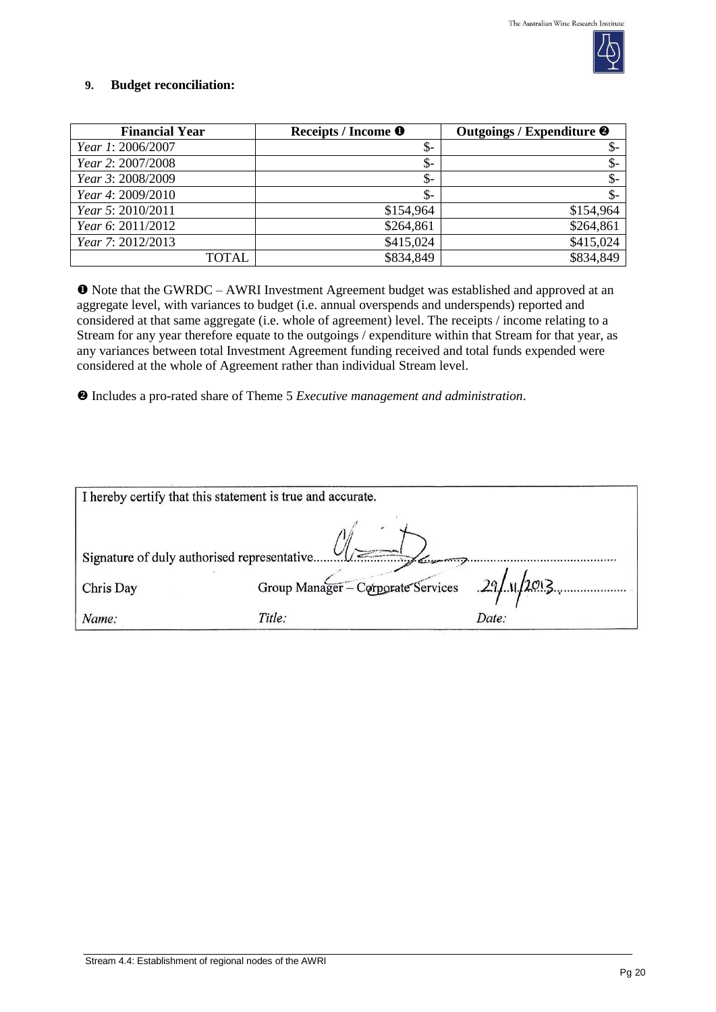

## **9. Budget reconciliation:**

| <b>Financial Year</b>    | Receipts / Income <sup>O</sup> | Outgoings / Expenditure <sup>@</sup> |
|--------------------------|--------------------------------|--------------------------------------|
| <i>Year 1: 2006/2007</i> | $\frac{1}{2}$                  | ა-                                   |
| Year 2: 2007/2008        | \$-                            | $\frac{1}{2}$                        |
| Year 3: 2008/2009        | \$-                            | $\frac{1}{2}$                        |
| Year 4: 2009/2010        | \$-                            | \$-                                  |
| Year 5: 2010/2011        | \$154,964                      | \$154,964                            |
| Year 6: 2011/2012        | \$264,861                      | \$264,861                            |
| Year 7: 2012/2013        | \$415,024                      | \$415,024                            |
| TOTAL                    | \$834,849                      | \$834,849                            |

 Note that the GWRDC – AWRI Investment Agreement budget was established and approved at an aggregate level, with variances to budget (i.e. annual overspends and underspends) reported and considered at that same aggregate (i.e. whole of agreement) level. The receipts / income relating to a Stream for any year therefore equate to the outgoings / expenditure within that Stream for that year, as any variances between total Investment Agreement funding received and total funds expended were considered at the whole of Agreement rather than individual Stream level.

Includes a pro-rated share of Theme 5 *Executive management and administration*.

| I hereby certify that this statement is true and accurate. |                                                |       |  |  |
|------------------------------------------------------------|------------------------------------------------|-------|--|--|
|                                                            |                                                |       |  |  |
| Chris Day                                                  | Group Manager - Corporate Services 29/11/2013. |       |  |  |
| Name:                                                      | Title:                                         | Date: |  |  |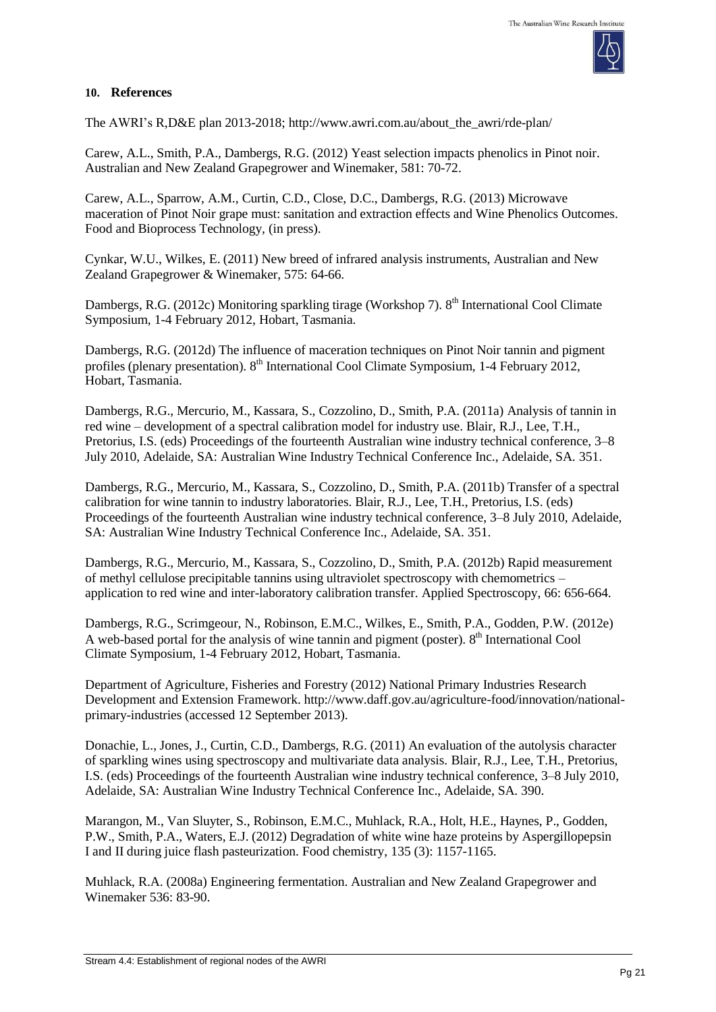

# **10. References**

The AWRI's R,D&E plan 2013-2018; [http://www.awri.com.au/about\\_the\\_awri/rde-plan/](http://www.awri.com.au/about_the_awri/rde-plan/)

Carew, A.L., Smith, P.A., Dambergs, R.G. (2012) Yeast selection impacts phenolics in Pinot noir. Australian and New Zealand Grapegrower and Winemaker, 581: 70-72.

Carew, A.L., Sparrow, A.M., Curtin, C.D., Close, D.C., Dambergs, R.G. (2013) Microwave maceration of Pinot Noir grape must: sanitation and extraction effects and Wine Phenolics Outcomes. Food and Bioprocess Technology, (in press).

Cynkar, W.U., Wilkes, E. (2011) New breed of infrared analysis instruments, Australian and New Zealand Grapegrower & Winemaker, 575: 64-66.

Dambergs, R.G. (2012c) Monitoring sparkling tirage (Workshop 7). 8<sup>th</sup> International Cool Climate Symposium, 1-4 February 2012, Hobart, Tasmania.

Dambergs, R.G. (2012d) The influence of maceration techniques on Pinot Noir tannin and pigment profiles (plenary presentation). 8<sup>th</sup> International Cool Climate Symposium, 1-4 February 2012, Hobart, Tasmania.

Dambergs, R.G., Mercurio, M., Kassara, S., Cozzolino, D., Smith, P.A. (2011a) Analysis of tannin in red wine – development of a spectral calibration model for industry use. Blair, R.J., Lee, T.H., Pretorius, I.S. (eds) Proceedings of the fourteenth Australian wine industry technical conference, 3–8 July 2010, Adelaide, SA: Australian Wine Industry Technical Conference Inc., Adelaide, SA. 351.

Dambergs, R.G., Mercurio, M., Kassara, S., Cozzolino, D., Smith, P.A. (2011b) Transfer of a spectral calibration for wine tannin to industry laboratories. Blair, R.J., Lee, T.H., Pretorius, I.S. (eds) Proceedings of the fourteenth Australian wine industry technical conference, 3–8 July 2010, Adelaide, SA: Australian Wine Industry Technical Conference Inc., Adelaide, SA. 351.

Dambergs, R.G., Mercurio, M., Kassara, S., Cozzolino, D., Smith, P.A. (2012b) Rapid measurement of methyl cellulose precipitable tannins using ultraviolet spectroscopy with chemometrics – application to red wine and inter-laboratory calibration transfer. Applied Spectroscopy, 66: 656-664.

Dambergs, R.G., Scrimgeour, N., Robinson, E.M.C., Wilkes, E., Smith, P.A., Godden, P.W. (2012e) A web-based portal for the analysis of wine tannin and pigment (poster). 8<sup>th</sup> International Cool Climate Symposium, 1-4 February 2012, Hobart, Tasmania.

Department of Agriculture, Fisheries and Forestry (2012) National Primary Industries Research Development and Extension Framework. [http://www.daff.gov.au/agriculture-food/innovation/national](http://www.daff.gov.au/agriculture-food/innovation/national-primary-industries)[primary-industries \(](http://www.daff.gov.au/agriculture-food/innovation/national-primary-industries)accessed 12 September 2013).

Donachie, L., Jones, J., Curtin, C.D., Dambergs, R.G. (2011) An evaluation of the autolysis character of sparkling wines using spectroscopy and multivariate data analysis. Blair, R.J., Lee, T.H., Pretorius, I.S. (eds) Proceedings of the fourteenth Australian wine industry technical conference, 3–8 July 2010, Adelaide, SA: Australian Wine Industry Technical Conference Inc., Adelaide, SA. 390.

Marangon, M., Van Sluyter, S., Robinson, E.M.C., Muhlack, R.A., Holt, H.E., Haynes, P., Godden, P.W., Smith, P.A., Waters, E.J. (2012) Degradation of white wine haze proteins by Aspergillopepsin I and II during juice flash pasteurization. Food chemistry, 135 (3): 1157-1165.

Muhlack, R.A. (2008a) Engineering fermentation. Australian and New Zealand Grapegrower and Winemaker 536: 83-90.